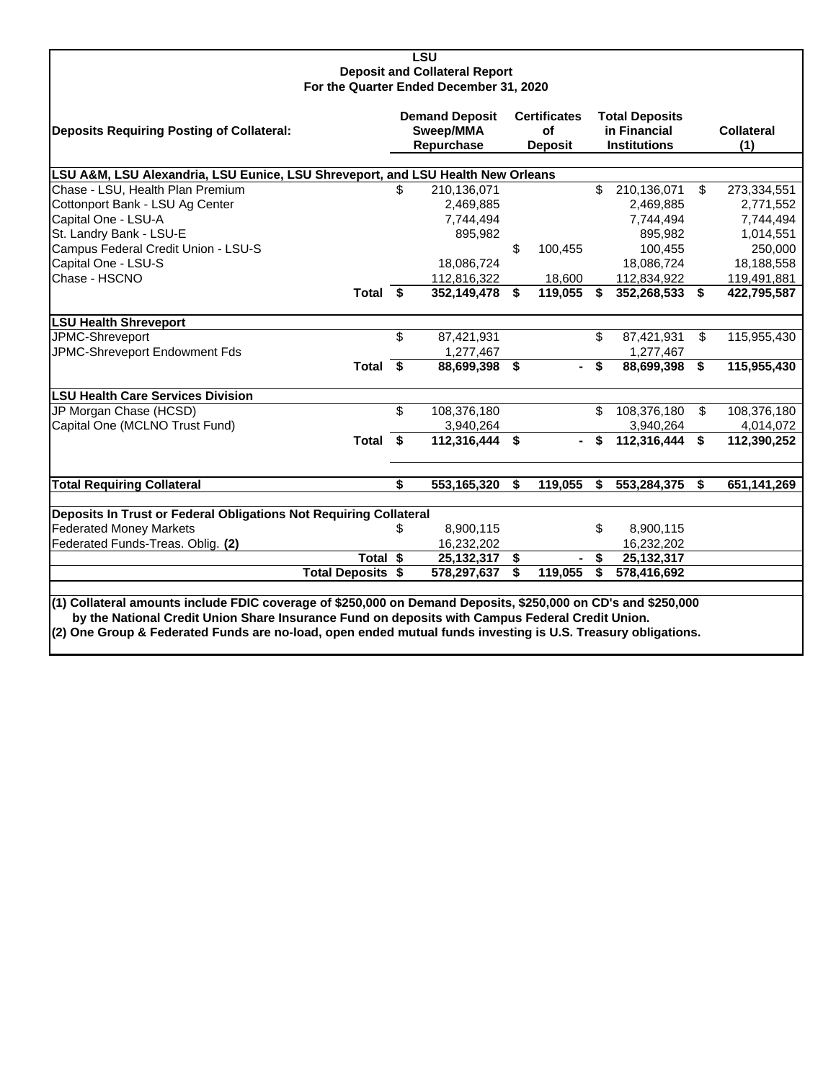| <b>LSU</b><br><b>Deposit and Collateral Report</b>                                                                                                                                                              |                                                  |                |                                             |                |                                                              |             |    |                          |  |  |  |
|-----------------------------------------------------------------------------------------------------------------------------------------------------------------------------------------------------------------|--------------------------------------------------|----------------|---------------------------------------------|----------------|--------------------------------------------------------------|-------------|----|--------------------------|--|--|--|
| For the Quarter Ended December 31, 2020                                                                                                                                                                         |                                                  |                |                                             |                |                                                              |             |    |                          |  |  |  |
| <b>Deposits Requiring Posting of Collateral:</b>                                                                                                                                                                | <b>Demand Deposit</b><br>Sweep/MMA<br>Repurchase |                | <b>Certificates</b><br>οf<br><b>Deposit</b> |                | <b>Total Deposits</b><br>in Financial<br><b>Institutions</b> |             |    | <b>Collateral</b><br>(1) |  |  |  |
| LSU A&M, LSU Alexandria, LSU Eunice, LSU Shreveport, and LSU Health New Orleans                                                                                                                                 |                                                  |                |                                             |                |                                                              |             |    |                          |  |  |  |
| Chase - LSU, Health Plan Premium                                                                                                                                                                                | \$                                               | 210,136,071    |                                             |                | \$                                                           | 210,136,071 | \$ | 273,334,551              |  |  |  |
| Cottonport Bank - LSU Ag Center                                                                                                                                                                                 |                                                  | 2,469,885      |                                             |                |                                                              | 2,469,885   |    | 2,771,552                |  |  |  |
| Capital One - LSU-A                                                                                                                                                                                             |                                                  | 7,744,494      |                                             |                |                                                              | 7,744,494   |    | 7,744,494                |  |  |  |
| St. Landry Bank - LSU-E                                                                                                                                                                                         |                                                  | 895,982        |                                             |                |                                                              | 895,982     |    | 1,014,551                |  |  |  |
| Campus Federal Credit Union - LSU-S                                                                                                                                                                             |                                                  |                | \$                                          | 100,455        |                                                              | 100,455     |    | 250,000                  |  |  |  |
| Capital One - LSU-S                                                                                                                                                                                             |                                                  | 18,086,724     |                                             |                |                                                              | 18,086,724  |    | 18,188,558               |  |  |  |
| Chase - HSCNO                                                                                                                                                                                                   |                                                  | 112,816,322    |                                             | 18,600         |                                                              | 112,834,922 |    | 119,491,881              |  |  |  |
| Total \$                                                                                                                                                                                                        |                                                  | 352,149,478    | Ŝ.                                          | 119,055        | \$                                                           | 352,268,533 | \$ | 422,795,587              |  |  |  |
| <b>LSU Health Shreveport</b>                                                                                                                                                                                    |                                                  |                |                                             |                |                                                              |             |    |                          |  |  |  |
| JPMC-Shreveport                                                                                                                                                                                                 | \$                                               | 87,421,931     |                                             |                | \$                                                           | 87,421,931  | \$ | 115,955,430              |  |  |  |
| JPMC-Shreveport Endowment Fds                                                                                                                                                                                   |                                                  | 1,277,467      |                                             |                |                                                              | 1,277,467   |    |                          |  |  |  |
| Total $\overline{\$}$                                                                                                                                                                                           |                                                  | 88,699,398 \$  |                                             | н.             | \$                                                           | 88,699,398  | \$ | 115,955,430              |  |  |  |
| <b>LSU Health Care Services Division</b>                                                                                                                                                                        |                                                  |                |                                             |                |                                                              |             |    |                          |  |  |  |
| JP Morgan Chase (HCSD)                                                                                                                                                                                          | \$                                               | 108,376,180    |                                             |                | \$                                                           | 108,376,180 | \$ | 108,376,180              |  |  |  |
| Capital One (MCLNO Trust Fund)                                                                                                                                                                                  |                                                  | 3,940,264      |                                             |                |                                                              | 3,940,264   |    | 4,014,072                |  |  |  |
| Total $\overline{\$}$                                                                                                                                                                                           |                                                  | 112,316,444 \$ |                                             | $\blacksquare$ | \$                                                           | 112,316,444 | \$ | 112,390,252              |  |  |  |
| <b>Total Requiring Collateral</b>                                                                                                                                                                               | \$                                               | 553,165,320    | S.                                          | 119,055        | \$                                                           | 553,284,375 | -S | 651,141,269              |  |  |  |
|                                                                                                                                                                                                                 |                                                  |                |                                             |                |                                                              |             |    |                          |  |  |  |
| Deposits In Trust or Federal Obligations Not Requiring Collateral                                                                                                                                               |                                                  |                |                                             |                |                                                              |             |    |                          |  |  |  |
| <b>Federated Money Markets</b>                                                                                                                                                                                  | \$                                               | 8,900,115      |                                             |                | \$                                                           | 8,900,115   |    |                          |  |  |  |
| Federated Funds-Treas. Oblig. (2)                                                                                                                                                                               |                                                  | 16,232,202     |                                             |                |                                                              | 16,232,202  |    |                          |  |  |  |
| Total \$                                                                                                                                                                                                        |                                                  | 25,132,317     | -\$                                         |                | \$                                                           | 25,132,317  |    |                          |  |  |  |
| <b>Total Deposits \$</b>                                                                                                                                                                                        |                                                  | 578,297,637    | \$                                          | 119,055        | \$                                                           | 578,416,692 |    |                          |  |  |  |
| (1) Collateral amounts include FDIC coverage of \$250,000 on Demand Deposits, \$250,000 on CD's and \$250,000                                                                                                   |                                                  |                |                                             |                |                                                              |             |    |                          |  |  |  |
| by the National Credit Union Share Insurance Fund on deposits with Campus Federal Credit Union.<br>(2) One Group & Federated Funds are no-load, open ended mutual funds investing is U.S. Treasury obligations. |                                                  |                |                                             |                |                                                              |             |    |                          |  |  |  |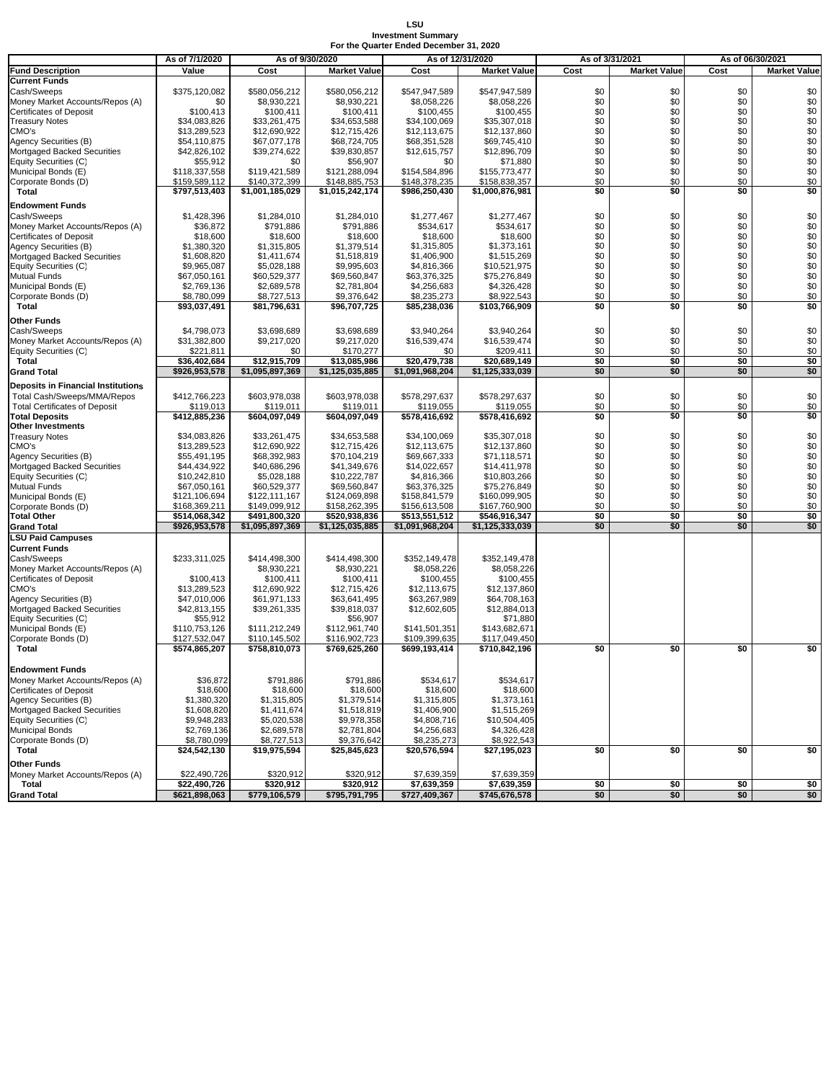## **LSU Investment Summary For the Quarter Ended December 31, 2020**

|                                      |                |                 |                     |                  |                     |      |                     | As of 06/30/2021                     |                              |
|--------------------------------------|----------------|-----------------|---------------------|------------------|---------------------|------|---------------------|--------------------------------------|------------------------------|
|                                      | As of 7/1/2020 | As of 9/30/2020 |                     | As of 12/31/2020 |                     |      | As of 3/31/2021     |                                      |                              |
| <b>Fund Description</b>              | Value          | Cost            | <b>Market Value</b> | Cost             | <b>Market Value</b> | Cost | <b>Market Value</b> | Cost                                 | <b>Market Value</b>          |
| Current Funds                        |                |                 |                     |                  |                     |      |                     |                                      |                              |
| Cash/Sweeps                          | \$375,120,082  | \$580,056,212   | \$580,056,212       | \$547,947,589    | \$547,947,589       | \$0  | \$0                 | \$0                                  | \$0                          |
| Money Market Accounts/Repos (A)      | \$0            | \$8,930,221     | \$8,930,221         | \$8,058,226      | \$8,058,226         | \$0  | \$0                 | \$0                                  | \$0                          |
| Certificates of Deposit              | \$100,413      | \$100,411       | \$100,411           | \$100,455        | \$100,455           | \$0  | \$0                 | \$0                                  | \$0                          |
| <b>Treasury Notes</b>                | \$34,083,826   | \$33.261.475    | \$34,653,588        | \$34.100.069     | \$35,307,018        | \$0  | \$0                 | \$0                                  | \$0                          |
|                                      |                |                 |                     |                  |                     | \$0  | \$0                 | \$0                                  | \$0                          |
| CMO's                                | \$13,289,523   | \$12,690,922    | \$12,715,426        | \$12,113,675     | \$12,137,860        |      |                     |                                      |                              |
| Agency Securities (B)                | \$54,110,875   | \$67.077.178    | \$68,724,705        | \$68.351.528     | \$69,745,410        | \$0  | \$0                 | \$0                                  | \$0                          |
| Mortgaged Backed Securities          | \$42,826,102   | \$39,274,622    | \$39,830,857        | \$12,615,757     | \$12,896,709        | \$0  | \$0                 | \$0                                  | $\$0$                        |
| Equity Securities (C)                | \$55,912       | \$0             | \$56,907            | \$0              | \$71,880            | \$0  | \$0                 | \$0                                  | $\$0$                        |
| Municipal Bonds (E)                  | \$118,337,558  | \$119,421,589   | \$121,288,094       | \$154,584,896    | \$155,773,477       | \$0  | \$0                 | \$0                                  | \$0                          |
| Corporate Bonds (D)                  | \$159,589,112  | \$140,372,399   | \$148,885,753       | \$148,378,235    | \$158,838,357       | \$0  | \$0                 | \$0                                  | \$0                          |
| Total                                | \$797,513,403  | \$1,001,185,029 | \$1,015,242,174     | \$986,250,430    | \$1,000,876,981     | \$0  | \$0                 | \$0                                  | \$0                          |
|                                      |                |                 |                     |                  |                     |      |                     |                                      |                              |
| Endowment Funds                      |                |                 |                     |                  |                     |      |                     |                                      |                              |
| Cash/Sweeps                          | \$1,428,396    | \$1,284,010     | \$1,284,010         | \$1,277,467      | \$1,277,467         | \$0  | \$0                 | \$0                                  | \$0                          |
| Money Market Accounts/Repos (A)      | \$36,872       | \$791,886       | \$791,886           | \$534.617        | \$534,617           | \$0  | \$0                 | \$0                                  | \$0                          |
| Certificates of Deposit              | \$18,600       | \$18,600        | \$18,600            | \$18,600         | \$18,600            | \$0  | \$0                 | \$0                                  | \$0                          |
| Agency Securities (B)                | \$1,380,320    | \$1,315,805     | \$1,379,514         | \$1,315,805      | \$1,373,161         | \$0  | \$0                 | \$0                                  | $\$0$                        |
| Mortgaged Backed Securities          | \$1,608,820    | \$1,411,674     | \$1,518,819         | \$1,406,900      | \$1,515,269         | \$0  | \$0                 | \$0                                  |                              |
|                                      |                |                 |                     |                  |                     |      |                     |                                      | $\$0$                        |
| Equity Securities (C)                | \$9,965,087    | \$5,028,188     | \$9,995,603         | \$4,816,366      | \$10,521,975        | \$0  | \$0                 | \$0                                  | \$0                          |
| Mutual Funds                         | \$67,050,161   | \$60,529,377    | \$69,560,847        | \$63,376,325     | \$75,276,849        | \$0  | \$0                 | \$0                                  | $\$0$                        |
| Municipal Bonds (E)                  | \$2,769,136    | \$2,689,578     | \$2,781,804         | \$4,256,683      | \$4,326,428         | \$0  | \$0                 | \$0                                  | \$0                          |
| Corporate Bonds (D)                  | \$8,780,099    | \$8,727,513     | \$9,376,642         | \$8,235,273      | \$8,922,543         | \$0  | \$0                 | \$0                                  | \$0                          |
| Total                                | \$93,037,491   | \$81,796,631    | \$96,707,725        | \$85,238,036     | \$103,766,909       | \$0  | \$0                 | $\overline{\mathbf{s}}$ <sub>0</sub> | \$0                          |
|                                      |                |                 |                     |                  |                     |      |                     |                                      |                              |
| Other Funds                          |                |                 |                     |                  |                     |      |                     |                                      |                              |
| Cash/Sweeps                          | \$4,798,073    | \$3,698,689     | \$3,698,689         | \$3,940,264      | \$3,940,264         | \$0  | \$0                 | \$0                                  | \$0                          |
| Money Market Accounts/Repos (A)      | \$31,382,800   | \$9,217,020     | \$9,217,020         | \$16,539,474     | \$16,539,474        | \$0  | \$0                 | \$0                                  | \$0                          |
| Equity Securities (C)                | \$221,811      | \$0             | \$170,277           | \$0              | \$209,411           | \$0  | \$0                 | \$0                                  | \$0                          |
| Total                                | \$36,402,684   | \$12,915,709    | \$13,085,986        | \$20,479,738     | \$20,689,149        | \$0  | \$0                 | \$0                                  | $\frac{1}{2}$                |
| <b>Grand Total</b>                   | \$926,953,578  | \$1,095,897,369 | \$1,125,035,885     | \$1,091,968,204  | \$1,125,333,039     | \$0  | \$0                 | \$0                                  | \$0                          |
|                                      |                |                 |                     |                  |                     |      |                     |                                      |                              |
| Deposits in Financial Institutions   |                |                 |                     |                  |                     |      |                     |                                      |                              |
| Total Cash/Sweeps/MMA/Repos          | \$412,766,223  | \$603,978,038   | \$603,978,038       | \$578,297,637    | \$578,297,637       | \$0  | \$0                 | \$0                                  | \$0                          |
| <b>Total Certificates of Deposit</b> | \$119.013      | \$119,011       | \$119,011           | \$119,055        | \$119,055           | \$0  | \$0                 | \$0                                  | \$0                          |
| <b>Total Deposits</b>                |                |                 |                     | \$578,416,692    | \$578,416,692       | \$0  | \$0                 | \$0                                  | \$0                          |
|                                      | \$412,885,236  | \$604,097,049   | \$604,097,049       |                  |                     |      |                     |                                      |                              |
| Other Investments                    |                |                 |                     |                  |                     |      |                     |                                      |                              |
| <b>Treasury Notes</b>                | \$34,083,826   | \$33,261,475    | \$34,653,588        | \$34,100,069     | \$35,307,018        | \$0  | \$0                 | \$0                                  | \$0                          |
| CMO's                                | \$13,289,523   | \$12,690,922    | \$12,715,426        | \$12,113,675     | \$12,137,860        | \$0  | \$0                 | \$0                                  | \$0                          |
| Agency Securities (B)                | \$55,491,195   | \$68,392,983    | \$70,104,219        | \$69,667,333     | \$71,118,571        | \$0  | \$0                 | \$0                                  | \$0                          |
| Mortgaged Backed Securities          | \$44,434,922   | \$40,686,296    | \$41,349,676        | \$14,022,657     | \$14,411,978        | \$0  | \$0                 | \$0                                  | $$0$<br>$$0$<br>$$0$<br>$$0$ |
| Equity Securities (C)                | \$10,242,810   | \$5,028,188     | \$10,222,787        | \$4,816,366      | \$10,803,266        | \$0  | \$0                 | \$0                                  |                              |
| Mutual Funds                         | \$67,050,161   | \$60,529,377    | \$69,560,847        | \$63,376,325     | \$75,276,849        | \$0  | \$0                 | \$0                                  |                              |
|                                      |                |                 |                     |                  |                     |      |                     |                                      |                              |
| Municipal Bonds (E)                  | \$121,106,694  | \$122,111,167   | \$124,069,898       | \$158,841,579    | \$160,099,905       | \$0  | \$0                 | \$0                                  | \$0                          |
| Corporate Bonds (D)                  | \$168,369,211  | \$149,099,912   | \$158,262,395       | \$156,613,508    | \$167,760,900       | \$0  | \$0                 | \$0                                  | \$0                          |
| <b>Total Other</b>                   | \$514,068,342  | \$491,800,320   | \$520,938,836       | \$513,551,512    | \$546,916,347       | \$0  | \$0                 | \$0                                  | \$0                          |
| <b>Grand Total</b>                   | \$926,953,578  | \$1,095,897,369 | \$1,125,035,885     | \$1,091,968,204  | \$1,125,333,039     | \$0  | \$0                 | \$0                                  | \$0                          |
| <b>LSU Paid Campuses</b>             |                |                 |                     |                  |                     |      |                     |                                      |                              |
| <b>Current Funds</b>                 |                |                 |                     |                  |                     |      |                     |                                      |                              |
|                                      |                |                 |                     |                  |                     |      |                     |                                      |                              |
| Cash/Sweeps                          | \$233,311,025  | \$414,498,300   | \$414,498,300       | \$352,149,478    | \$352,149,478       |      |                     |                                      |                              |
| Money Market Accounts/Repos (A)      |                | \$8,930,221     | \$8,930,221         | \$8,058,226      | \$8,058,226         |      |                     |                                      |                              |
| Certificates of Deposit              | \$100,413      | \$100,411       | \$100,411           | \$100,455        | \$100,455           |      |                     |                                      |                              |
| CMO's                                | \$13,289,523   | \$12,690,922    | \$12,715,426        | \$12,113,675     | \$12,137,860        |      |                     |                                      |                              |
| Agency Securities (B)                | \$47,010,006   | \$61,971,133    | \$63,641,495        | \$63,267,989     | \$64,708,163        |      |                     |                                      |                              |
| Mortgaged Backed Securities          | \$42,813,155   | \$39,261,335    | \$39,818,037        | \$12,602,605     | \$12,884,013        |      |                     |                                      |                              |
| Equity Securities (C)                | \$55,912       |                 | \$56,907            |                  | \$71,880            |      |                     |                                      |                              |
|                                      | \$110.753.126  |                 |                     |                  |                     |      |                     |                                      |                              |
| Municipal Bonds (E)                  |                | \$111,212,249   | \$112,961,740       | \$141,501,351    | \$143,682,671       |      |                     |                                      |                              |
| Corporate Bonds (D)                  | \$127,532,047  | \$110,145,502   | \$116,902,723       | \$109,399,635    | \$117,049,450       |      |                     |                                      |                              |
| Total                                | \$574,865,207  | \$758,810,073   | \$769,625,260       | \$699,193,414    | \$710,842,196       | \$0  | \$0                 | \$0                                  | \$0                          |
|                                      |                |                 |                     |                  |                     |      |                     |                                      |                              |
| <b>Endowment Funds</b>               |                |                 |                     |                  |                     |      |                     |                                      |                              |
| Money Market Accounts/Repos (A)      | \$36,872       | \$791,886       | \$791.886           | \$534.617        | \$534,617           |      |                     |                                      |                              |
| Certificates of Deposit              | \$18,600       | \$18,600        | \$18,600            | \$18,600         | \$18,600            |      |                     |                                      |                              |
|                                      |                |                 |                     |                  |                     |      |                     |                                      |                              |
| Agency Securities (B)                | \$1,380,320    | \$1,315,805     | \$1,379,514         | \$1,315,805      | \$1,373,161         |      |                     |                                      |                              |
| Mortgaged Backed Securities          | \$1,608,820    | \$1,411,674     | \$1,518,819         | \$1,406,900      | \$1,515,269         |      |                     |                                      |                              |
| Equity Securities (C)                | \$9,948,283    | \$5,020,538     | \$9,978,358         | \$4,808,716      | \$10,504,405        |      |                     |                                      |                              |
| Municipal Bonds                      | \$2,769,136    | \$2,689,578     | \$2,781,804         | \$4,256,683      | \$4,326,428         |      |                     |                                      |                              |
| Corporate Bonds (D)                  | \$8,780,099    | \$8,727,513     | \$9,376,642         | \$8,235,273      | \$8,922,543         |      |                     |                                      |                              |
| Total                                | \$24,542,130   | \$19,975,594    | \$25,845,623        | \$20,576,594     | \$27,195,023        | \$0  | \$0                 | \$0                                  | \$0                          |
|                                      |                |                 |                     |                  |                     |      |                     |                                      |                              |
| Other Funds                          |                |                 |                     |                  |                     |      |                     |                                      |                              |
| Money Market Accounts/Repos (A)      | \$22,490,726   | \$320,912       | \$320,912           | \$7,639,359      | \$7,639,359         |      |                     |                                      |                              |
| Total                                | \$22,490,726   | \$320,912       | \$320,912           | \$7,639,359      | \$7,639,359         | \$0  | \$0                 | \$0                                  | \$0                          |
| Grand Total                          | \$621,898,063  | \$779,106,579   | \$795,791,795       | \$727,409,367    | \$745,676,578       | \$0  | \$0                 | \$0                                  | \$0                          |
|                                      |                |                 |                     |                  |                     |      |                     |                                      |                              |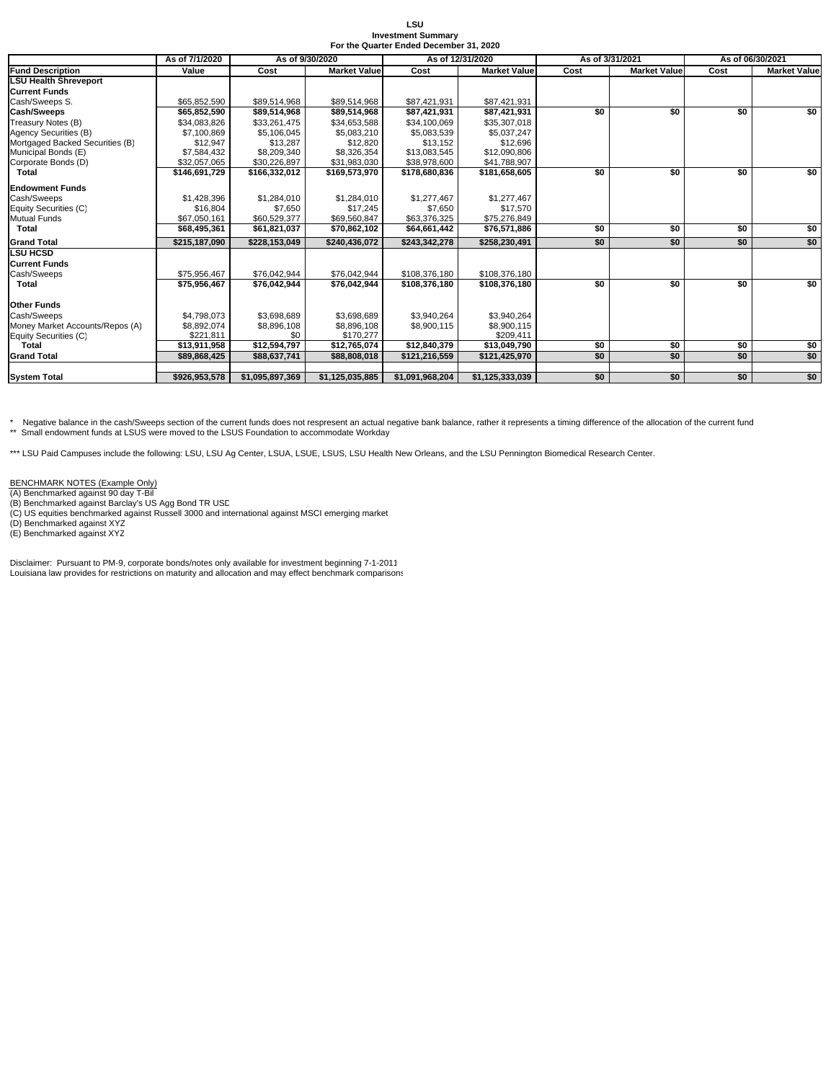| LSU                                     |
|-----------------------------------------|
| <b>Investment Summary</b>               |
| For the Quarter Ended December 31, 2020 |

|                                 | As of 7/1/2020 | As of 9/30/2020 |                     | As of 12/31/2020 |                     | As of 3/31/2021 |                     | As of 06/30/2021 |                     |
|---------------------------------|----------------|-----------------|---------------------|------------------|---------------------|-----------------|---------------------|------------------|---------------------|
| <b>Fund Description</b>         | Value          | Cost            | <b>Market Value</b> | Cost             | <b>Market Value</b> | Cost            | <b>Market Value</b> | Cost             | <b>Market Value</b> |
| <b>LSU Health Shreveport</b>    |                |                 |                     |                  |                     |                 |                     |                  |                     |
| <b>Current Funds</b>            |                |                 |                     |                  |                     |                 |                     |                  |                     |
| Cash/Sweeps S.                  | \$65,852,590   | \$89,514,968    | \$89,514,968        | \$87,421,931     | \$87,421,931        |                 |                     |                  |                     |
| Cash/Sweeps                     | \$65,852,590   | \$89,514,968    | \$89,514,968        | \$87.421.931     | \$87,421,931        | \$0             | \$0                 | \$0              | <b>SO</b>           |
| Treasury Notes (B)              | \$34,083,826   | \$33,261,475    | \$34,653,588        | \$34,100,069     | \$35,307,018        |                 |                     |                  |                     |
| Agency Securities (B)           | \$7,100.869    | \$5.106.045     | \$5,083,210         | \$5.083.539      | \$5.037.247         |                 |                     |                  |                     |
| Mortgaged Backed Securities (B) | \$12,947       | \$13,287        | \$12,820            | \$13,152         | \$12,696            |                 |                     |                  |                     |
| Municipal Bonds (E)             | \$7,584,432    | \$8,209,340     | \$8,326,354         | \$13,083,545     | \$12,090,806        |                 |                     |                  |                     |
| Corporate Bonds (D)             | \$32,057,065   | \$30,226,897    | \$31,983,030        | \$38,978,600     | \$41,788,907        |                 |                     |                  |                     |
| <b>Total</b>                    | \$146,691,729  | \$166,332,012   | \$169,573,970       | \$178,680,836    | \$181,658,605       | \$0             | \$0                 | \$0              | \$0                 |
| <b>Endowment Funds</b>          |                |                 |                     |                  |                     |                 |                     |                  |                     |
| Cash/Sweeps                     | \$1,428,396    | \$1,284,010     | \$1.284.010         | \$1,277,467      | \$1,277,467         |                 |                     |                  |                     |
| Equity Securities (C)           | \$16,804       | \$7,650         | \$17,245            | \$7,650          | \$17,570            |                 |                     |                  |                     |
| <b>Mutual Funds</b>             | \$67.050.161   | \$60,529,377    | \$69,560,847        | \$63,376,325     | \$75,276,849        |                 |                     |                  |                     |
| <b>Total</b>                    | \$68,495,361   | \$61,821,037    | \$70,862,102        | \$64,661,442     | \$76,571,886        | \$0             | \$0                 | \$0              | \$0                 |
| <b>Grand Total</b>              | \$215.187.090  | \$228,153,049   | \$240,436,072       | \$243,342,278    | \$258,230,491       | \$0             | \$0                 | \$0              | \$0                 |
| <b>LSU HCSD</b>                 |                |                 |                     |                  |                     |                 |                     |                  |                     |
| <b>Current Funds</b>            |                |                 |                     |                  |                     |                 |                     |                  |                     |
| Cash/Sweeps                     | \$75.956.467   | \$76,042.944    | \$76.042.944        | \$108.376.180    | \$108,376,180       |                 |                     |                  |                     |
| Total                           | \$75,956,467   | \$76,042,944    | \$76,042,944        | \$108,376,180    | \$108,376,180       | \$0             | \$0                 | \$0              | \$0                 |
| <b>Other Funds</b>              |                |                 |                     |                  |                     |                 |                     |                  |                     |
| Cash/Sweeps                     | \$4.798.073    | \$3,698,689     | \$3,698,689         | \$3,940,264      | \$3,940,264         |                 |                     |                  |                     |
| Money Market Accounts/Repos (A) | \$8,892,074    | \$8,896,108     | \$8,896,108         | \$8,900,115      | \$8,900,115         |                 |                     |                  |                     |
| Equity Securities (C)           | \$221.811      | \$0             | \$170.277           |                  | \$209.411           |                 |                     |                  |                     |
| Total                           | \$13,911,958   | \$12,594,797    | \$12,765,074        | \$12,840,379     | \$13,049,790        | \$0             | \$0                 | \$0              | \$0                 |
| <b>Grand Total</b>              | \$89,868,425   | \$88,637,741    | \$88,808,018        | \$121.216.559    | \$121,425,970       | \$0             | \$0                 | \$0              | \$0                 |
|                                 |                |                 |                     |                  |                     |                 |                     |                  |                     |
| <b>System Total</b>             | \$926,953,578  | \$1,095,897,369 | \$1,125,035,885     | \$1,091,968,204  | \$1,125,333,039     | \$0             | \$0                 | \$0              | \$0                 |

\* Negative balance in the cash/Sweeps section of the current funds does not respresent an actual negative bank balance, rather it represents a timing difference of the allocation of the current fund<br>\*\* Small endowment fund

\*\*\* LSU Paid Campuses include the following: LSU, LSU Ag Center, LSUA, LSUE, LSUS, LSU Health New Orleans, and the LSU Pennington Biomedical Research Center.

BENCHMARK NOTES (Example Only)

(A) Benchmarked against 90 day T-Bil

(B) Benchmarked against Barclay's US Agg Bond TR USD (C) US equities benchmarked against Russell 3000 and international against MSCI emerging market (D) Benchmarked against XYZ (E) Benchmarked against XYZ

Disclaimer: Pursuant to PM-9, corporate bonds/notes only available for investment beginning 7-1-2011 Louisiana law provides for restrictions on maturity and allocation and may effect benchmark comparisons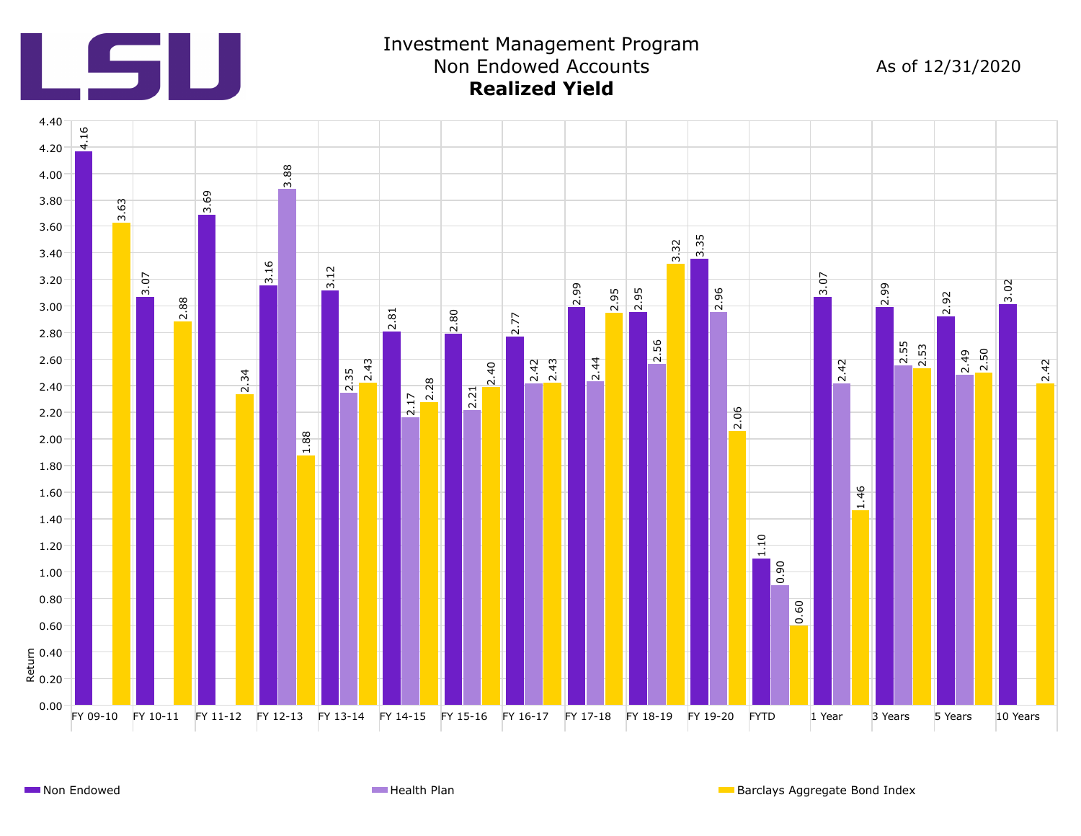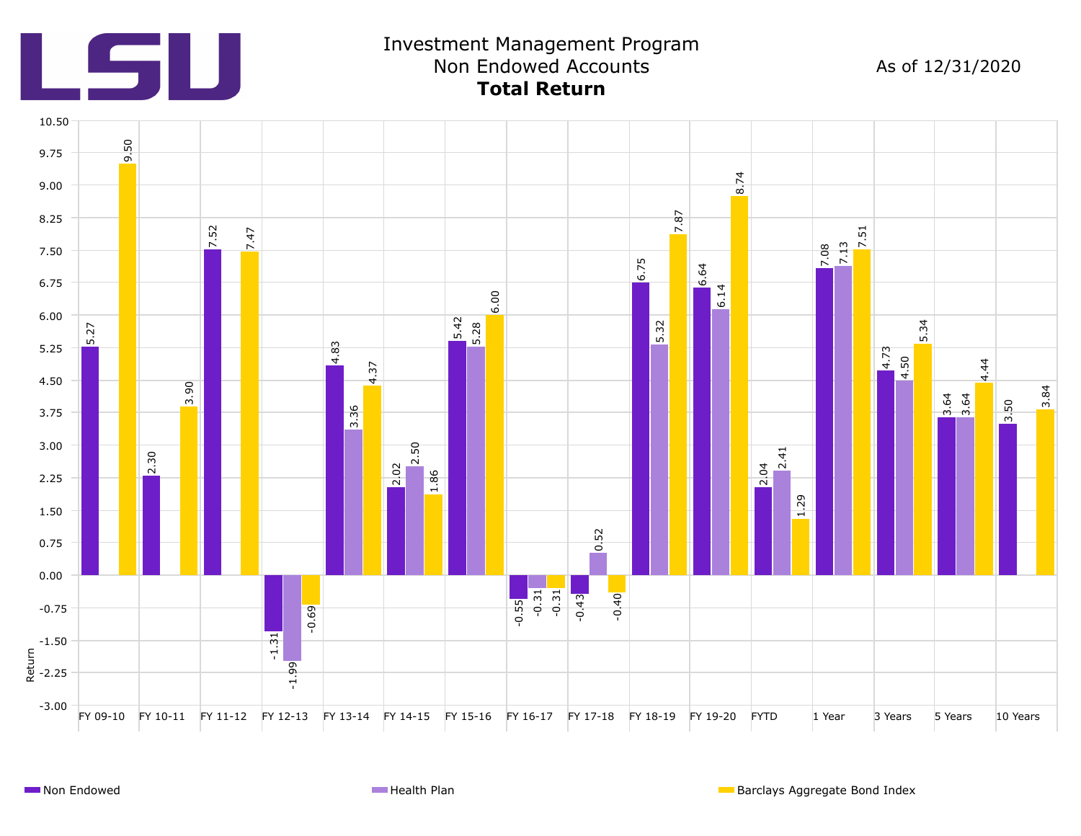

## Investment Management Program Non Endowed Accounts **Total Return**

As of 12/31/2020

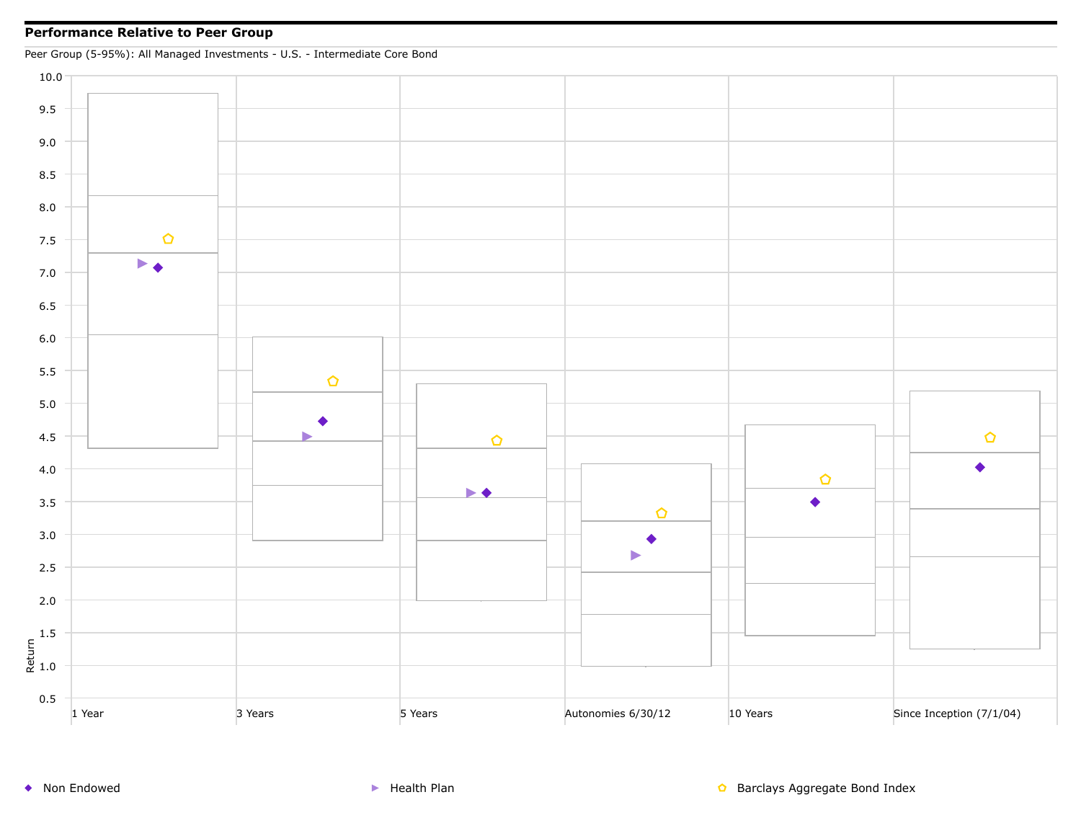## **Performance Relative to Peer Group**

Peer Group (5-95%): All Managed Investments - U.S. - Intermediate Core Bond



◆ Non Endowed <br>● Non Endowed Supervisor Section And Health Plan Barclays Aggregate Bond Index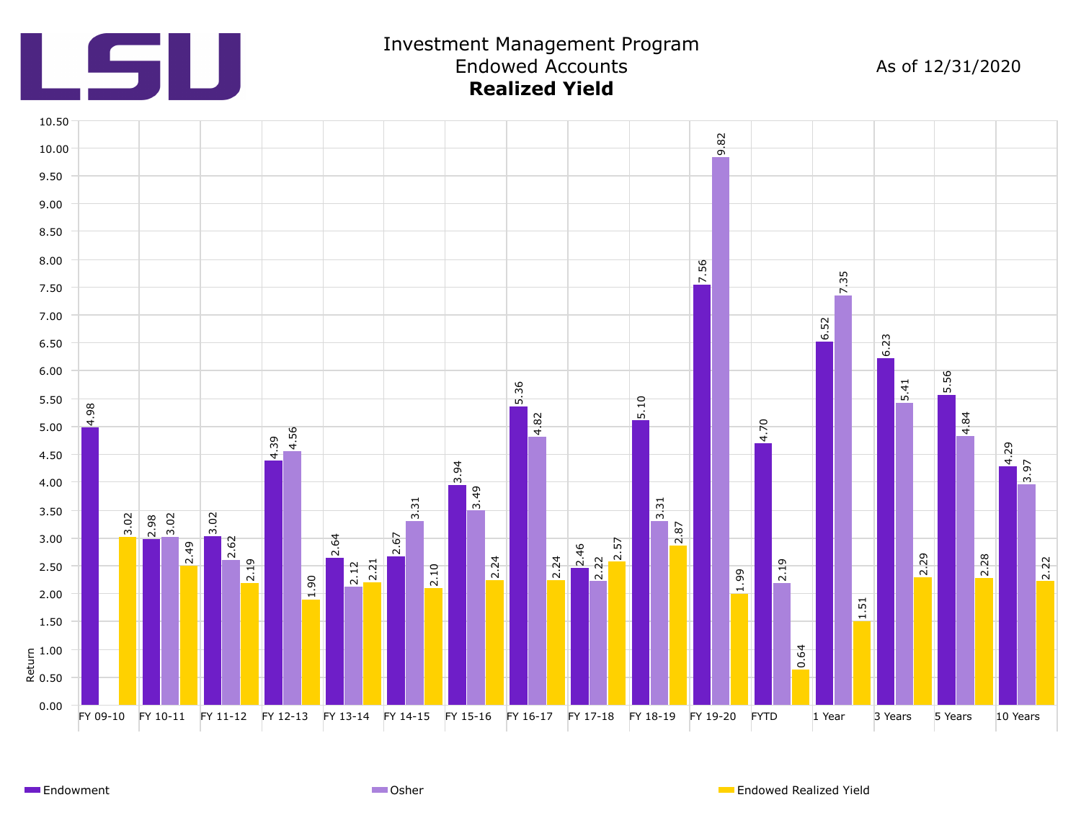

## Investment Management Program Endowed Accounts **Realized Yield**

As of 12/31/2020